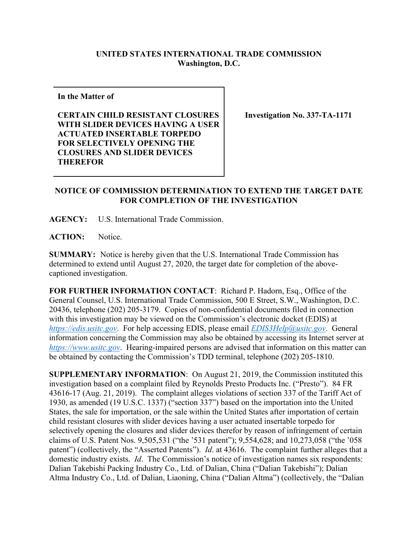## **UNITED STATES INTERNATIONAL TRADE COMMISSION Washington, D.C.**

**In the Matter of**

**CERTAIN CHILD RESISTANT CLOSURES WITH SLIDER DEVICES HAVING A USER ACTUATED INSERTABLE TORPEDO FOR SELECTIVELY OPENING THE CLOSURES AND SLIDER DEVICES THEREFOR**

**Investigation No. 337-TA-1171**

## **NOTICE OF COMMISSION DETERMINATION TO EXTEND THE TARGET DATE FOR COMPLETION OF THE INVESTIGATION**

**AGENCY:** U.S. International Trade Commission.

**ACTION:** Notice.

**SUMMARY:** Notice is hereby given that the U.S. International Trade Commission has determined to extend until August 27, 2020, the target date for completion of the abovecaptioned investigation.

**FOR FURTHER INFORMATION CONTACT**: Richard P. Hadorn, Esq., Office of the General Counsel, U.S. International Trade Commission, 500 E Street, S.W., Washington, D.C. 20436, telephone (202) 205-3179. Copies of non-confidential documents filed in connection with this investigation may be viewed on the Commission's electronic docket (EDIS) at *[https://edis.usitc.gov](https://edis.usitc.gov/)*. For help accessing EDIS, please email *[EDIS3Help@usitc.gov](mailto:EDIS3Help@usitc.gov)*. General information concerning the Commission may also be obtained by accessing its Internet server at *[https://www.usitc.gov](https://www.usitc.gov/)*. Hearing-impaired persons are advised that information on this matter can be obtained by contacting the Commission's TDD terminal, telephone (202) 205-1810.

**SUPPLEMENTARY INFORMATION**: On August 21, 2019, the Commission instituted this investigation based on a complaint filed by Reynolds Presto Products Inc. ("Presto"). 84 FR 43616-17 (Aug. 21, 2019). The complaint alleges violations of section 337 of the Tariff Act of 1930, as amended (19 U.S.C. 1337) ("section 337") based on the importation into the United States, the sale for importation, or the sale within the United States after importation of certain child resistant closures with slider devices having a user actuated insertable torpedo for selectively opening the closures and slider devices therefor by reason of infringement of certain claims of U.S. Patent Nos. 9,505,531 ("the '531 patent"); 9,554,628; and 10,273,058 ("the '058 patent") (collectively, the "Asserted Patents"). *Id*. at 43616. The complaint further alleges that a domestic industry exists. *Id*. The Commission's notice of investigation names six respondents: Dalian Takebishi Packing Industry Co., Ltd. of Dalian, China ("Dalian Takebishi"); Dalian Altma Industry Co., Ltd. of Dalian, Liaoning, China ("Dalian Altma") (collectively, the "Dalian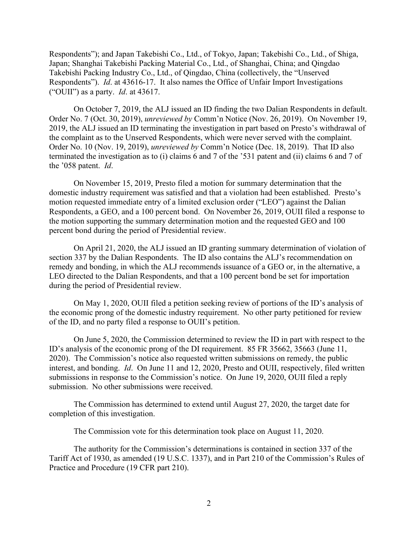Respondents"); and Japan Takebishi Co., Ltd., of Tokyo, Japan; Takebishi Co., Ltd., of Shiga, Japan; Shanghai Takebishi Packing Material Co., Ltd., of Shanghai, China; and Qingdao Takebishi Packing Industry Co., Ltd., of Qingdao, China (collectively, the "Unserved Respondents"). *Id*. at 43616-17. It also names the Office of Unfair Import Investigations ("OUII") as a party. *Id*. at 43617.

On October 7, 2019, the ALJ issued an ID finding the two Dalian Respondents in default. Order No. 7 (Oct. 30, 2019), *unreviewed by* Comm'n Notice (Nov. 26, 2019). On November 19, 2019, the ALJ issued an ID terminating the investigation in part based on Presto's withdrawal of the complaint as to the Unserved Respondents, which were never served with the complaint. Order No. 10 (Nov. 19, 2019), *unreviewed by* Comm'n Notice (Dec. 18, 2019). That ID also terminated the investigation as to (i) claims 6 and 7 of the '531 patent and (ii) claims 6 and 7 of the '058 patent. *Id*.

On November 15, 2019, Presto filed a motion for summary determination that the domestic industry requirement was satisfied and that a violation had been established. Presto's motion requested immediate entry of a limited exclusion order ("LEO") against the Dalian Respondents, a GEO, and a 100 percent bond. On November 26, 2019, OUII filed a response to the motion supporting the summary determination motion and the requested GEO and 100 percent bond during the period of Presidential review.

On April 21, 2020, the ALJ issued an ID granting summary determination of violation of section 337 by the Dalian Respondents. The ID also contains the ALJ's recommendation on remedy and bonding, in which the ALJ recommends issuance of a GEO or, in the alternative, a LEO directed to the Dalian Respondents, and that a 100 percent bond be set for importation during the period of Presidential review.

On May 1, 2020, OUII filed a petition seeking review of portions of the ID's analysis of the economic prong of the domestic industry requirement. No other party petitioned for review of the ID, and no party filed a response to OUII's petition.

On June 5, 2020, the Commission determined to review the ID in part with respect to the ID's analysis of the economic prong of the DI requirement. 85 FR 35662, 35663 (June 11, 2020). The Commission's notice also requested written submissions on remedy, the public interest, and bonding. *Id*. On June 11 and 12, 2020, Presto and OUII, respectively, filed written submissions in response to the Commission's notice. On June 19, 2020, OUII filed a reply submission. No other submissions were received.

The Commission has determined to extend until August 27, 2020, the target date for completion of this investigation.

The Commission vote for this determination took place on August 11, 2020.

The authority for the Commission's determinations is contained in section 337 of the Tariff Act of 1930, as amended (19 U.S.C. 1337), and in Part 210 of the Commission's Rules of Practice and Procedure (19 CFR part 210).